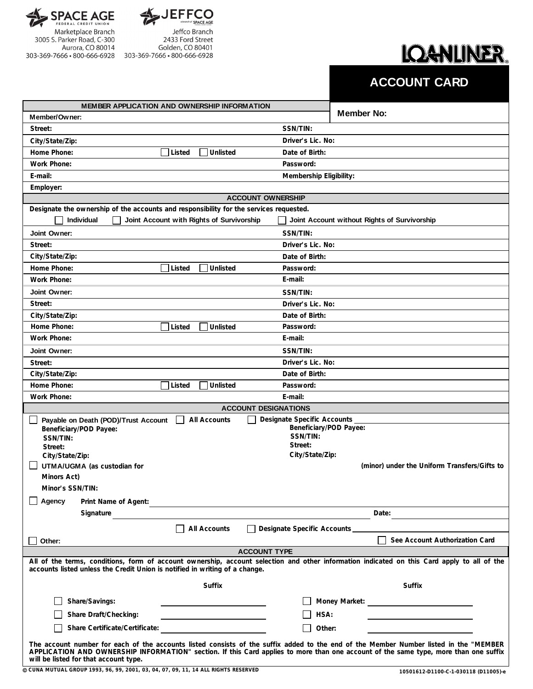

Aurora, CO 80014



Jeffco Branch 2433 Ford Street Golden, CO 80401 303-369-7666 · 800-666-6928 303-369-7666 · 800-666-6928

## **IQANLINER.**

## **ACCOUNT CARD**

| <b>MEMBER APPLICATION AND OWNERSHIP INFORMATION</b>                                                                                                                                                                                                                                                                    |                                              |  |  |
|------------------------------------------------------------------------------------------------------------------------------------------------------------------------------------------------------------------------------------------------------------------------------------------------------------------------|----------------------------------------------|--|--|
| Member/Owner:                                                                                                                                                                                                                                                                                                          | <b>Member No:</b>                            |  |  |
| Street:                                                                                                                                                                                                                                                                                                                | SSN/TIN:                                     |  |  |
| City/State/Zip:                                                                                                                                                                                                                                                                                                        | Driver's Lic. No:                            |  |  |
| Home Phone:<br>Unlisted<br>Listed                                                                                                                                                                                                                                                                                      | Date of Birth:                               |  |  |
| <b>Work Phone:</b>                                                                                                                                                                                                                                                                                                     | Password:                                    |  |  |
| E-mail:                                                                                                                                                                                                                                                                                                                | Membership Eligibility:                      |  |  |
| Employer:                                                                                                                                                                                                                                                                                                              |                                              |  |  |
| <b>ACCOUNT OWNERSHIP</b>                                                                                                                                                                                                                                                                                               |                                              |  |  |
| Designate the ownership of the accounts and responsibility for the services requested.                                                                                                                                                                                                                                 |                                              |  |  |
| Individual<br>Joint Account with Rights of Survivorship                                                                                                                                                                                                                                                                | Joint Account without Rights of Survivorship |  |  |
| Joint Owner:                                                                                                                                                                                                                                                                                                           | SSN/TIN:                                     |  |  |
| Street:                                                                                                                                                                                                                                                                                                                | Driver's Lic. No:                            |  |  |
| City/State/Zip:                                                                                                                                                                                                                                                                                                        | Date of Birth:                               |  |  |
| Home Phone:<br>Listed<br>Unlisted                                                                                                                                                                                                                                                                                      | Password:                                    |  |  |
| <b>Work Phone:</b>                                                                                                                                                                                                                                                                                                     | E-mail:                                      |  |  |
| Joint Owner:                                                                                                                                                                                                                                                                                                           | SSN/TIN:                                     |  |  |
| Street:                                                                                                                                                                                                                                                                                                                | Driver's Lic. No:                            |  |  |
| City/State/Zip:                                                                                                                                                                                                                                                                                                        | Date of Birth:                               |  |  |
| Home Phone:<br>Unlisted<br>Listed                                                                                                                                                                                                                                                                                      | Password:                                    |  |  |
| Work Phone:                                                                                                                                                                                                                                                                                                            | E-mail:                                      |  |  |
| Joint Owner:                                                                                                                                                                                                                                                                                                           | SSN/TIN:                                     |  |  |
| Street:                                                                                                                                                                                                                                                                                                                | Driver's Lic. No:                            |  |  |
| City/State/Zip:                                                                                                                                                                                                                                                                                                        | Date of Birth:                               |  |  |
| Home Phone:<br>Unlisted<br>Listed                                                                                                                                                                                                                                                                                      | Password:                                    |  |  |
| Work Phone:                                                                                                                                                                                                                                                                                                            | E-mail:                                      |  |  |
| <b>ACCOUNT DESIGNATIONS</b>                                                                                                                                                                                                                                                                                            |                                              |  |  |
| All Accounts<br>Payable on Death (POD)/Trust Account                                                                                                                                                                                                                                                                   | <b>Designate Specific Accounts</b>           |  |  |
| Beneficiary/POD Payee:<br>SSN/TIN:                                                                                                                                                                                                                                                                                     | Beneficiary/POD Payee:<br>SSN/TIN:           |  |  |
| Street:                                                                                                                                                                                                                                                                                                                | Street:                                      |  |  |
| City/State/Zip:                                                                                                                                                                                                                                                                                                        | City/State/Zip:                              |  |  |
| UTMA/UGMA (as custodian for                                                                                                                                                                                                                                                                                            | (minor) under the Uniform Transfers/Gifts to |  |  |
| Minors Act)                                                                                                                                                                                                                                                                                                            |                                              |  |  |
| Minor's SSN/TIN:                                                                                                                                                                                                                                                                                                       |                                              |  |  |
| Agency<br>Print Name of Agent:                                                                                                                                                                                                                                                                                         |                                              |  |  |
| Signature                                                                                                                                                                                                                                                                                                              | Date:                                        |  |  |
| All Accounts                                                                                                                                                                                                                                                                                                           | Designate Specific Accounts                  |  |  |
| Other:                                                                                                                                                                                                                                                                                                                 | See Account Authorization Card               |  |  |
| <b>ACCOUNT TYPE</b>                                                                                                                                                                                                                                                                                                    |                                              |  |  |
| All of the terms, conditions, form of account ownership, account selection and other information indicated on this Card apply to all of the<br>accounts listed unless the Credit Union is notified in writing of a change.                                                                                             |                                              |  |  |
| Suffix                                                                                                                                                                                                                                                                                                                 | Suffix                                       |  |  |
| Share/Savings:                                                                                                                                                                                                                                                                                                         |                                              |  |  |
| Share Draft/Checking:                                                                                                                                                                                                                                                                                                  | HSA:                                         |  |  |
|                                                                                                                                                                                                                                                                                                                        | Other:                                       |  |  |
| Share Certificate/Certificate:                                                                                                                                                                                                                                                                                         |                                              |  |  |
| The account number for each of the accounts listed consists of the suffix added to the end of the Member Number listed in the "MEMBER<br>APPLICATION AND OWNERSHIP INFORMATION" section. If this Card applies to more than one account of the same type, more than one suffix<br>will be listed for that account type. |                                              |  |  |